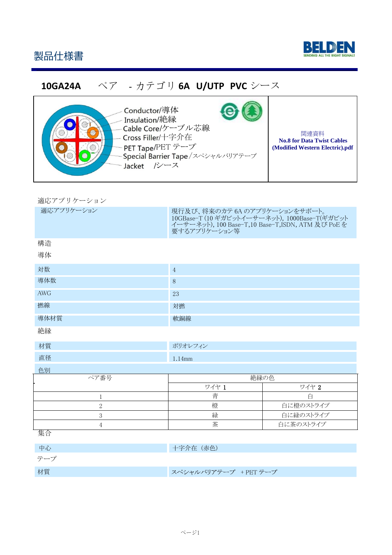



## **10GA24A** ペア - カテゴリ **6A U/UTP PVC** シース



Conductor/導体 **Insulation/絶縁** Cable Core/ケーブル芯線 Cross Filler/十字介在 PET Tape/PET テープ Special Barrier Tape/スペシャルバリアテープ Jacket /シース

関連資料 **No.8 for Data Twist Cables (Modified Western Electric).pdf**

| 適応アプリケーション |  |  |  |  |  |  |
|------------|--|--|--|--|--|--|
|------------|--|--|--|--|--|--|

| 適応アプリケーション   | 現行及び、将来のカテ 6A のアプリケーションをサポート。<br>10GBase-T (10 ギガビットイーサーネット), 1000Base-T(ギガビット<br>イーサーネット), 100 Base-T,10 Base-T,ISDN, ATM 及び PoE を<br>要するアプリケーション等 |           |  |  |  |  |
|--------------|-----------------------------------------------------------------------------------------------------------------------------------------------------|-----------|--|--|--|--|
| 構造           |                                                                                                                                                     |           |  |  |  |  |
| 導体           |                                                                                                                                                     |           |  |  |  |  |
| 対数           | $\sqrt{4}$                                                                                                                                          |           |  |  |  |  |
| 導体数          | $8\,$                                                                                                                                               |           |  |  |  |  |
| <b>AWG</b>   | 23                                                                                                                                                  |           |  |  |  |  |
| 撚線           | 対撚                                                                                                                                                  |           |  |  |  |  |
| 導体材質         | 軟銅線                                                                                                                                                 |           |  |  |  |  |
| 絶縁           |                                                                                                                                                     |           |  |  |  |  |
| 材質           | ポリオレフィン                                                                                                                                             |           |  |  |  |  |
| 直径           | 1.14mm                                                                                                                                              |           |  |  |  |  |
| 色別           |                                                                                                                                                     |           |  |  |  |  |
| ペア番号         | 絶縁の色                                                                                                                                                |           |  |  |  |  |
|              | ワイヤ 1                                                                                                                                               | ワイヤ 2     |  |  |  |  |
| $\mathbf{1}$ | 青                                                                                                                                                   | 白         |  |  |  |  |
| $\mathbf{2}$ | 橙<br>白に橙のストライプ                                                                                                                                      |           |  |  |  |  |
| 3            | 緑<br>白に緑のストライプ                                                                                                                                      |           |  |  |  |  |
| 4            | 茶                                                                                                                                                   | 白に茶のストライプ |  |  |  |  |

集合

中心 中国 (1999年) 1999年 - 1999年 - 1999年 - 1999年 - 1999年 - 1999年 - 1999年 - 1999年 - 1999年 - 1999年 - 1999年 - 199 テープ 材質スペシャルバリアテープ +PETテープ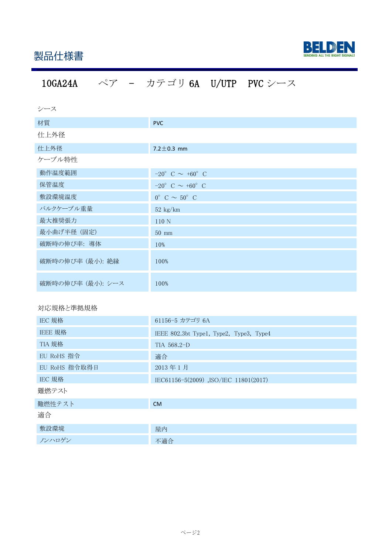

# 10GA24A ペア - カテゴリ 6A U/UTP PVC シース

| シース               |                                      |
|-------------------|--------------------------------------|
| 材質                | <b>PVC</b>                           |
| 仕上外径              |                                      |
| 仕上外径              | $7.2 \pm 0.3$ mm                     |
| ケーブル特性            |                                      |
| 動作温度範囲            | $-20^{\circ}$ C $\sim$ +60° C        |
| 保管温度              | $-20^{\circ}$ C $\sim +60^{\circ}$ C |
| 敷設環境温度            | $0^{\circ}$ C $\sim$ 50° C           |
| バルクケーブル重量         | $52\,$ kg/km                         |
| 最大推奨張力            | 110N                                 |
| 最小曲げ半径 (固定)       | $50$ mm                              |
| 破断時の伸び率: 導体       | 10%                                  |
| 破断時の伸び率 (最小): 絶縁  | 100%                                 |
| 破断時の伸び率 (最小): シース | 100%                                 |

### 対応規格と準拠規格

| IEC 規格        | 61156-5 カテゴリ 6A                         |
|---------------|-----------------------------------------|
| IEEE 規格       | IEEE 802.3bt Type1, Type2, Type3, Type4 |
| TIA 規格        | TIA 568.2-D                             |
| EU RoHS 指令    | 適合                                      |
| EU RoHS 指令取得日 | 2013年1月                                 |
| IEC 規格        | IEC61156-5(2009), ISO/IEC 11801(2017)   |
| 難燃テスト         |                                         |
| 難燃性テスト        | <b>CM</b>                               |
| 適合            |                                         |
| 敷設環境          | 屋内                                      |
| ノンハロゲン        | 不適合                                     |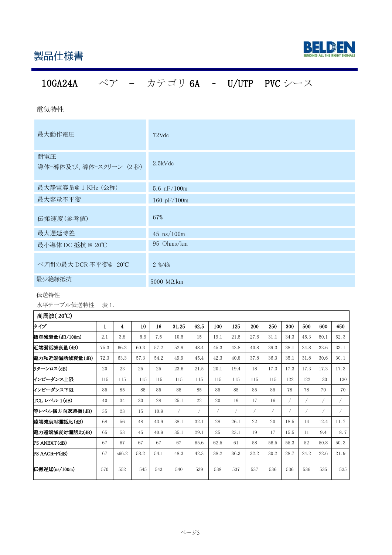

# 10GA24A ペア - カテゴリ 6A – U/UTP PVC シース

電気特性

| 最大動作電圧                       | 72Vdc                            |
|------------------------------|----------------------------------|
| 耐電圧<br>導体-導体及び、導体-スクリーン (2秒) | $2.5$ k $Vdc$                    |
| 最大静電容量@ 1 KHz (公称)           | 5.6 $nF/100m$                    |
| 最大容量不平衡                      | 160 $pF/100m$                    |
| 伝搬速度(参考値)                    | 67%                              |
| 最大遅延時差                       | $45$ ns/100m                     |
| 最小導体 DC 抵抗 @ 20℃             | 95 Ohms/km                       |
| ペア間の最大 DCR 不平衡@ 20℃          | $2\% / 4\%$                      |
| 最少絶縁抵抗                       | $5000 \text{ M}\Omega\text{.km}$ |

#### 伝送特性

水平テーブル伝送特性 表 1.

| 高周波(20℃)       |      |                         |      |      |       |      |      |      |      |      |      |      |      |      |
|----------------|------|-------------------------|------|------|-------|------|------|------|------|------|------|------|------|------|
| タイプ            | 1    | $\overline{\mathbf{4}}$ | 10   | 16   | 31.25 | 62.5 | 100  | 125  | 200  | 250  | 300  | 500  | 600  | 650  |
| 標準減衰量(dB/100m) | 2.1  | 3.8                     | 5.9  | 7.5  | 10.5  | 15   | 19.1 | 21.5 | 27.6 | 31.1 | 34.3 | 45.3 | 50.1 | 52.3 |
| 近端漏話減衰量(dB)    | 75.3 | 66.3                    | 60.3 | 57.2 | 52.9  | 48.4 | 45.3 | 43.8 | 40.8 | 39.3 | 38.1 | 34.8 | 33.6 | 33.1 |
| 電力和近端漏話減衰量(dB) | 72.3 | 63.3                    | 57.3 | 54.2 | 49.9  | 45.4 | 42.3 | 40.8 | 37.8 | 36.3 | 35.1 | 31.8 | 30.6 | 30.1 |
| リターンロス(dB)     | 20   | 23                      | 25   | 25   | 23.6  | 21.5 | 20.1 | 19.4 | 18   | 17.3 | 17.3 | 17.3 | 17.3 | 17.3 |
| インピーダンス上限      | 115  | 115                     | 115  | 115  | 115   | 115  | 115  | 115  | 115  | 115  | 122  | 122  | 130  | 130  |
| インピーダンス下限      | 85   | 85                      | 85   | 85   | 85    | 85   | 85   | 85   | 85   | 85   | 78   | 78   | 70   | 70   |
| TCL レベル 1(dB)  | 40   | 34                      | 30   | 28   | 25.1  | 22   | 20   | 19   | 17   | 16   |      |      |      |      |
| 等レベル横方向返還損(dB) | 35   | 23                      | 15   | 10.9 | 7     |      |      |      | 7    |      |      |      |      |      |
| 遠端減衰対漏話比(dB)   | 68   | 56                      | 48   | 43.9 | 38.1  | 32.1 | 28   | 26.1 | 22   | 20   | 18.5 | 14   | 12.4 | 11.7 |
| 電力遠端減衰対漏話比(dB) | 65   | 53                      | 45   | 40.9 | 35.1  | 29.1 | 25   | 23.1 | 19   | 17   | 15.5 | 11   | 9.4  | 8.7  |
| PS ANEXT(dB)   | 67   | 67                      | 67   | 67   | 67    | 65.6 | 62.5 | 61   | 58   | 56.5 | 55.3 | 52   | 50.8 | 50.3 |
| PS AACR-F(dB)  | 67   | s66.2                   | 58.2 | 54.1 | 48.3  | 42.3 | 38.2 | 36.3 | 32.2 | 30.2 | 28.7 | 24.2 | 22.6 | 21.9 |
| 伝搬遅延(ns/100m)  | 570  | 552                     | 545  | 543  | 540   | 539  | 538  | 537  | 537  | 536  | 536  | 536  | 535  | 535  |